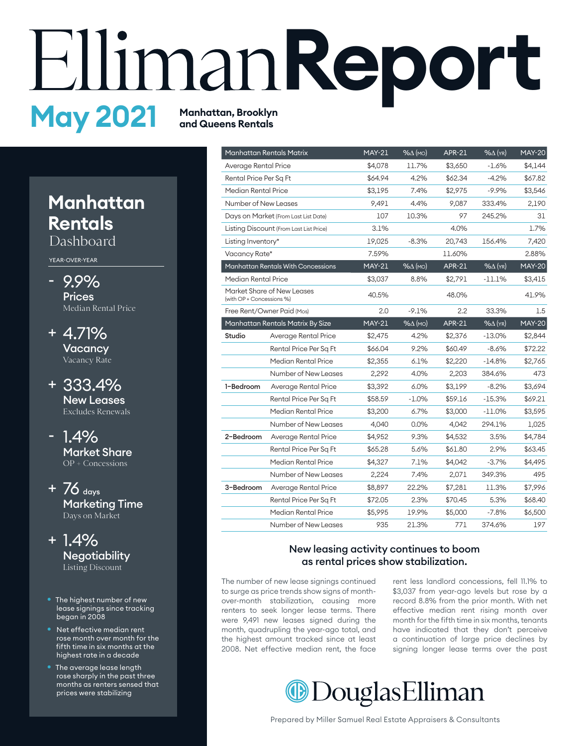# **Report May 2021 Manhattan, Brooklyn and Queens Rentals**

## **Manhattan Rentals**

Dashboard

YEAR-OVER-YEAR

- 9.9% **Prices** Median Rental Price
- 4.71% + **Vacancy** Vacancy Rate
- 333.4% + New Leases Excludes Renewals
- 1.4% Market Share OP + Concessions
- $+76$  days Marketing Time Days on Market
- 1.4% + **Negotiability** Listing Discount
- The highest number of new lease signings since tracking began in 2008
- Net effective median rent rose month over month for the fifth time in six months at the highest rate in a decade
- The average lease length rose sharply in the past three months as renters sensed that prices were stabilizing

|                           | Manhattan Rentals Matrix                  | <b>MAY-21</b> | $% \triangle (MO)$ | <b>APR-21</b> | $%$ $\Delta$ (YR)  | <b>MAY-20</b> |
|---------------------------|-------------------------------------------|---------------|--------------------|---------------|--------------------|---------------|
| Average Rental Price      |                                           | \$4,078       | 11.7%              | \$3,650       | $-1.6%$            | \$4,144       |
|                           | Rental Price Per Sq Ft                    |               | 4.2%               | \$62.34       | -4.2%              | \$67.82       |
| Median Rental Price       |                                           | \$3,195       | 7.4%               | \$2,975       | $-9.9%$            | \$3,546       |
| Number of New Leases      |                                           | 9,491         | 4.4%               | 9,087         | 333.4%             | 2,190         |
|                           | Days on Market (From Last List Date)      | 107           | 10.3%              | 97            | 245.2%             | 31            |
|                           | Listing Discount (From Last List Price)   | 3.1%          |                    | 4.0%          |                    | 1.7%          |
| Listing Inventory*        |                                           | 19,025        | $-8.3%$            | 20,743        | 156.4%             | 7,420         |
| Vacancy Rate*             |                                           | 7.59%         |                    | 11.60%        |                    | 2.88%         |
|                           | <b>Manhattan Rentals With Concessions</b> | <b>MAY-21</b> | $% \triangle (MO)$ | <b>APR-21</b> | $% \triangle (YR)$ | <b>MAY-20</b> |
| Median Rental Price       |                                           | \$3,037       | 8.8%               | \$2,791       | $-11.1\%$          | \$3,415       |
| (with OP + Concessions %) | Market Share of New Leases                | 40.5%         |                    | 48.0%         |                    | 41.9%         |
|                           | Free Rent/Owner Paid (Mos)                |               | $-9.1%$            | 2.2           | 33.3%              | $1.5\,$       |
|                           | Manhattan Rentals Matrix By Size          | <b>MAY-21</b> | $% \triangle (MO)$ | <b>APR-21</b> | $%$ $\Delta$ (YR)  | <b>MAY-20</b> |
| Studio                    | Average Rental Price                      | \$2,475       | 4.2%               | \$2,376       | $-13.0\%$          | \$2,844       |
|                           | Rental Price Per Sq Ft                    | \$66.04       | 9.2%               | \$60.49       | $-8.6%$            | \$72.22       |
|                           | Median Rental Price                       | \$2,355       | 6.1%               | \$2,220       | -14.8%             | \$2,765       |
|                           | Number of New Leases                      | 2,292         | 4.0%               | 2,203         | 384.6%             | 473           |
| 1-Bedroom                 | Average Rental Price                      | \$3,392       | 6.0%               | \$3,199       | $-8.2%$            | \$3,694       |
|                           | Rental Price Per Sq Ft                    | \$58.59       | $-1.0%$            | \$59.16       | $-15.3%$           | \$69.21       |
|                           | Median Rental Price                       | \$3,200       | 6.7%               | \$3,000       | $-11.0\%$          | \$3,595       |
|                           | Number of New Leases                      | 4,040         | 0.0%               | 4.042         | 294.1%             | 1,025         |
| 2-Bedroom                 | Average Rental Price                      | \$4,952       | 9.3%               | \$4,532       | 3.5%               | \$4,784       |
|                           | Rental Price Per Sq Ft                    | \$65.28       | 5.6%               | \$61.80       | 2.9%               | \$63.45       |
|                           | Median Rental Price                       | \$4,327       | 7.1%               | \$4,042       | $-3.7%$            | \$4,495       |
|                           | Number of New Leases                      | 2,224         | 7.4%               | 2,071         | 349.3%             | 495           |
| 3-Bedroom                 | Average Rental Price                      | \$8,897       | 22.2%              | \$7,281       | 11.3%              | \$7,996       |
|                           | Rental Price Per Sq Ft                    | \$72.05       | 2.3%               | \$70.45       | 5.3%               | \$68.40       |
|                           | Median Rental Price                       | \$5,995       | 19.9%              | \$5,000       | $-7.8%$            | \$6,500       |
|                           | Number of New Leases                      | 935           | 21.3%              | 771           | 374.6%             | 197           |

#### New leasing activity continues to boom as rental prices show stabilization.

The number of new lease signings continued to surge as price trends show signs of monthover-month stabilization, causing more renters to seek longer lease terms. There were 9,491 new leases signed during the month, quadrupling the year-ago total, and the highest amount tracked since at least 2008. Net effective median rent, the face

rent less landlord concessions, fell 11.1% to \$3,037 from year-ago levels but rose by a record 8.8% from the prior month. With net effective median rent rising month over month for the fifth time in six months, tenants have indicated that they don't perceive a continuation of large price declines by signing longer lease terms over the past

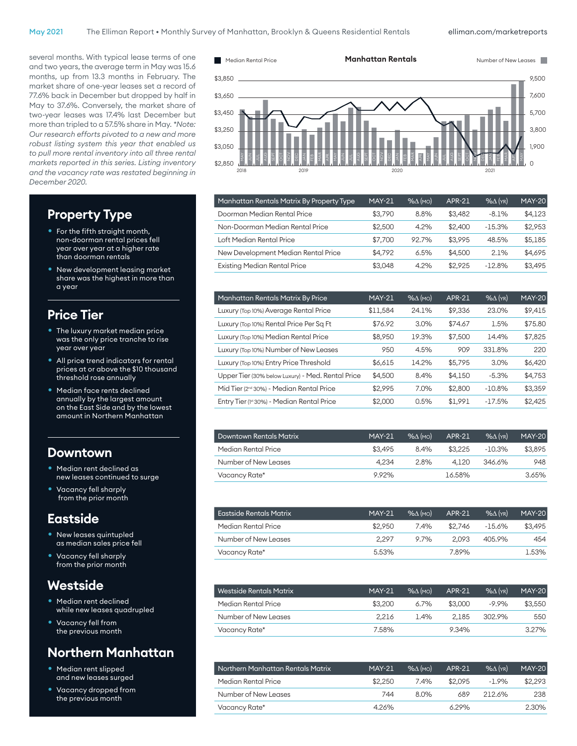elliman.com/marketreports

several months. With typical lease terms of one and two years, the average term in May was 15.6 months, up from 13.3 months in February. The market share of one-year leases set a record of 77.6% back in December but dropped by half in May to 37.6%. Conversely, the market share of two-year leases was 17.4% last December but more than tripled to a 57.5% share in May. *\*Note: Our research efforts pivoted to a new and more robust listing system this year that enabled us to pull more rental inventory into all three rental markets reported in this series. Listing inventory and the vacancy rate was restated beginning in December 2020.*

#### **Property Type**

- For the fifth straight month, non-doorman rental prices fell year over year at a higher rate than doorman rentals
- New development leasing market share was the highest in more than a year

#### **Price Tier**

- The luxury market median price was the only price tranche to rise year over year
- All price trend indicators for rental prices at or above the \$10 thousand threshold rose annually
- Median face rents declined annually by the largest amount on the East Side and by the lowest amount in Northern Manhattan

#### **Downtown**

- Median rent declined as new leases continued to surge
- Vacancy fell sharply from the prior month

#### **Eastside**

- New leases quintupled as median sales price fell
- Vacancy fell sharply from the prior month

#### **Westside**

- Median rent declined while new leases quadrupled
- Vacancy fell from the previous month

#### **Northern Manhattan**

- Median rent slipped and new leases surged
- Vacancy dropped from the previous month



| Manhattan Rentals Matrix By Property Type | <b>MAY-21</b> | $% \triangle (MO)$ | <b>APR-21</b> | $%$ $(YR)$ | <b>MAY-20</b> |
|-------------------------------------------|---------------|--------------------|---------------|------------|---------------|
| Doorman Median Rental Price               | \$3,790       | 8.8%               | \$3.482       | $-8.1%$    | \$4,123       |
| Non-Doorman Median Rental Price           | \$2,500       | 4.2%               | \$2,400       | $-15.3%$   | \$2,953       |
| Loft Median Rental Price                  | \$7.700       | 92.7%              | \$3.995       | 48.5%      | \$5,185       |
| New Development Median Rental Price       | \$4.792       | 6.5%               | \$4,500       | 2.1%       | \$4,695       |
| <b>Existing Median Rental Price</b>       | \$3.048       | 4.2%               | \$2.925       | $-12.8%$   | \$3,495       |
|                                           |               |                    |               |            |               |

| Manhattan Rentals Matrix By Price                    | <b>MAY-21</b> | $% \triangle (MO)$ | <b>APR-21</b> | $%$ $\Delta$ (YR) | <b>MAY-20</b> |
|------------------------------------------------------|---------------|--------------------|---------------|-------------------|---------------|
| Luxury (Top 10%) Average Rental Price                | \$11,584      | 24.1%              | \$9,336       | 23.0%             | \$9,415       |
| Luxury (Top 10%) Rental Price Per Sq Ft              | \$76.92       | 3.0%               | \$74.67       | 1.5%              | \$75.80       |
| Luxury (Top 10%) Median Rental Price                 | \$8,950       | 19.3%              | \$7,500       | 14.4%             | \$7,825       |
| Luxury (Top 10%) Number of New Leases                | 950           | 4.5%               | 909           | 331.8%            | 220           |
| Luxury (Top 10%) Entry Price Threshold               | \$6,615       | 14.2%              | \$5,795       | 3.0%              | \$6,420       |
| Upper Tier (30% below Luxury) - Med. Rental Price    | \$4,500       | 8.4%               | \$4.150       | $-5.3%$           | \$4.753       |
| Mid Tier (2 <sup>nd</sup> 30%) - Median Rental Price | \$2,995       | 7.0%               | \$2,800       | $-10.8%$          | \$3,359       |
| Entry Tier (1st 30%) - Median Rental Price           | \$2,000       | 0.5%               | \$1.991       | $-17.5%$          | \$2,425       |

| <b>Downtown Rentals Matrix</b> | <b>MAY-21</b> | $%$ $\Lambda$ (MO) | APR-21  | $\%$ $\wedge$ ( $\vee$ R) | <b>MAY-20</b> |
|--------------------------------|---------------|--------------------|---------|---------------------------|---------------|
| Median Rental Price            | \$3.495       | 8.4%               | \$3,225 | $-10.3%$                  | \$3.895       |
| Number of New Leases           | 4.234         | 2.8%               | 4.120   | 346.6%                    | 948           |
| Vacancy Rate*                  | 9.92%         |                    | 16.58%  |                           | 3.65%         |

| <b>Eastside Rentals Matrix</b> | <b>MAY-21</b> | $\%$ A $($ MO) $)$ | APR-21  | $\%$ $\wedge$ ( $\vee$ R) | <b>MAY-20</b> |
|--------------------------------|---------------|--------------------|---------|---------------------------|---------------|
| Median Rental Price            | \$2,950       | 7.4%               | \$2.746 | -15.6%                    | \$3.495       |
| Number of New Leases           | 2.297         | 9.7%               | 2.093   | 405.9%                    | 454           |
| Vacancy Rate*                  | 5.53%         |                    | 7.89%   |                           | 1.53%         |

| Westside Rentals Matrix | <b>MAY-21</b> | $%$ $\Lambda$ (MO) | APR-21  | $%$ $(\gamma_R)$ | <b>MAY-20</b> |
|-------------------------|---------------|--------------------|---------|------------------|---------------|
| Median Rental Price     | \$3,200       | $6.7\%$            | \$3,000 | $-9.9%$          | \$3.550       |
| Number of New Leases    | 2.216         | 1.4%               | 2.185   | 302.9%           | 550           |
| Vacancy Rate*           | 7.58%         |                    | 9.34%   |                  | 327%          |

| Northern Manhattan Rentals Matrix | <b>MAY-21</b> | $\%$ A $(mo)$ | <b>APR-21</b> | $%$ $(\gamma_R)$ | <b>MAY-20</b> |
|-----------------------------------|---------------|---------------|---------------|------------------|---------------|
| Median Rental Price               | \$2,250       | 7.4%          | \$2.095       | $-1.9%$          | \$2.293       |
| Number of New Leases              | 744           | 8.0%          | 689           | 212.6%           | 238           |
| Vacancy Rate*                     | 4.26%         |               | 6.29%         |                  | 2.30%         |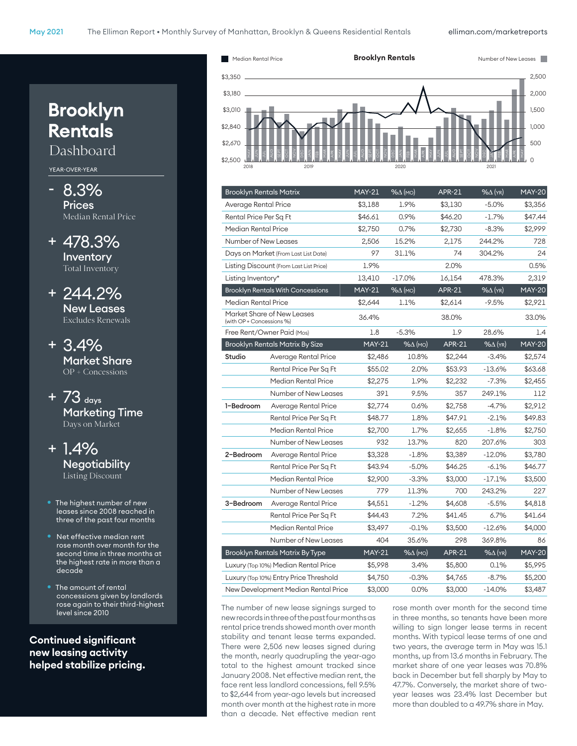# **Brooklyn Rentals** Dashboard

YEAR-OVER-YEAR

- 8.3% **Prices** Median Rental Price
- + 478.3% Inventory Total Inventory
- + 244.2% New Leases Excludes Renewals
- + 3.4% Market Share OP + Concessions
- + 73 days Marketing Time Days on Market
- + 1.4% **Negotiability** Listing Discount
- The highest number of new leases since 2008 reached in three of the past four months
- Net effective median rent rose month over month for the second time in three months at the highest rate in more than a decade
- The amount of rental concessions given by landlords rose again to their third-highest level since 2010

**Continued significant new leasing activity helped stabilize pricing.**



| <b>Brooklyn Rentals Matrix</b>      |                                          | <b>MAY-21</b> | $% \triangle (MO)$                  | <b>APR-21</b> | $%$ $\Delta$ (YR) | <b>MAY-20</b> |
|-------------------------------------|------------------------------------------|---------------|-------------------------------------|---------------|-------------------|---------------|
| Average Rental Price                |                                          | \$3,188       | 1.9%                                | \$3,130       | $-5.0%$           | \$3,356       |
| Rental Price Per Sq Ft              |                                          | \$46.61       | 0.9%                                | \$46.20       | $-1.7%$           | \$47.44       |
| Median Rental Price                 |                                          | \$2,750       | 0.7%                                | \$2,730       | $-8.3%$           | \$2,999       |
| Number of New Leases                |                                          | 2,506         | 15.2%                               | 2,175         | 244.2%            | 728           |
|                                     | Days on Market (From Last List Date)     | 97            | 31.1%                               | 74            | 304.2%            | 24            |
|                                     | Listing Discount (From Last List Price)  | 1.9%          |                                     | 2.0%          |                   | 0.5%          |
| Listing Inventory*                  |                                          | 13,410        | $-17.0\%$                           | 16,154        | 478.3%            | 2,319         |
|                                     | <b>Brooklyn Rentals With Concessions</b> | <b>MAY-21</b> | $% \Delta (MO)$                     | <b>APR-21</b> | $%$ $\Delta$ (YR) | <b>MAY-20</b> |
| Median Rental Price                 |                                          | \$2,644       | 1.1%                                | \$2,614       | $-9.5%$           | \$2,921       |
| (with OP + Concessions %)           | Market Share of New Leases               | 36.4%         |                                     | 38.0%         |                   | 33.0%         |
|                                     | Free Rent/Owner Paid (Mos)               | 1.8           | $-5.3%$                             | 1.9           | 28.6%             | 1.4           |
|                                     | <b>Brooklyn Rentals Matrix By Size</b>   | $MAY-21$      | $% \triangle (MO)$                  | <b>APR-21</b> | $% \Delta$ (YR)   | <b>MAY-20</b> |
| Studio                              | Average Rental Price                     | \$2,486       | 10.8%                               | \$2,244       | $-3.4%$           | \$2,574       |
|                                     | Rental Price Per Sa Ft                   | \$55.02       | 2.0%                                | \$53.93       | -13.6%            | \$63.68       |
|                                     | Median Rental Price                      | \$2,275       | 1.9%                                | \$2,232       | $-7.3\%$          | \$2,455       |
|                                     | Number of New Leases                     | 391           | 9.5%                                | 357           | 249.1%            | 112           |
| 1-Bedroom                           | Average Rental Price                     | \$2,774       | 0.6%                                | \$2,758       | $-4.7%$           | \$2,912       |
|                                     | Rental Price Per Sa Ft                   | \$48.77       | 1.8%                                | \$47.91       | $-2.1%$           | \$49.83       |
|                                     | Median Rental Price                      | \$2,700       | 1.7%                                | \$2,655       | $-1.8%$           | \$2,750       |
|                                     | Number of New Leases                     | 932           | 13.7%                               | 820           | 207.6%            | 303           |
| 2-Bedroom                           | Average Rental Price                     | \$3,328       | $-1.8%$                             | \$3,389       | $-12.0\%$         | \$3,780       |
|                                     | Rental Price Per Sq Ft                   | \$43.94       | $-5.0\%$                            | \$46.25       | $-6.1%$           | \$46.77       |
|                                     | Median Rental Price                      | \$2,900       | $-3.3\%$                            | \$3,000       | $-17.1%$          | \$3,500       |
|                                     | Number of New Leases                     | 779           | 11.3%                               | 700           | 243.2%            | 227           |
| 3-Bedroom                           | Average Rental Price                     | \$4,551       | $-1.2%$                             | \$4,608       | $-5.5%$           | \$4,818       |
|                                     | Rental Price Per Sq Ft                   | \$44.43       | 7.2%                                | \$41.45       | 6.7%              | \$41.64       |
|                                     | Median Rental Price                      | \$3,497       | $-0.1%$                             | \$3,500       | $-12.6%$          | \$4,000       |
|                                     | Number of New Leases                     | 404           | 35.6%                               | 298           | 369.8%            | 86            |
|                                     | <b>Brooklyn Rentals Matrix By Type</b>   |               | <b>MAY-21</b><br>$% \triangle (MO)$ | <b>APR-21</b> | $%$ $\Delta$ (YR) | <b>MAY-20</b> |
|                                     | Luxury (Top 10%) Median Rental Price     |               | 3.4%<br>\$5,998                     | \$5,800       | 0.1%              | \$5,995       |
|                                     | Luxury (Top 10%) Entry Price Threshold   | \$4,750       | $-0.3%$                             | \$4,765       | $-8.7%$           | \$5,200       |
| New Development Median Rental Price |                                          | \$3,000       | 0.0%                                | \$3,000       | $-14.0\%$         | \$3,487       |

The number of new lease signings surged to new records in three of the past four months as rental price trends showed month over month stability and tenant lease terms expanded. There were 2,506 new leases signed during the month, nearly quadrupling the year-ago total to the highest amount tracked since January 2008. Net effective median rent, the face rent less landlord concessions, fell 9.5% to \$2,644 from year-ago levels but increased month over month at the highest rate in more than a decade. Net effective median rent rose month over month for the second time in three months, so tenants have been more willing to sign longer lease terms in recent months. With typical lease terms of one and two years, the average term in May was 15.1 months, up from 13.6 months in February. The market share of one year leases was 70.8% back in December but fell sharply by May to 47.7%. Conversely, the market share of twoyear leases was 23.4% last December but more than doubled to a 49.7% share in May.